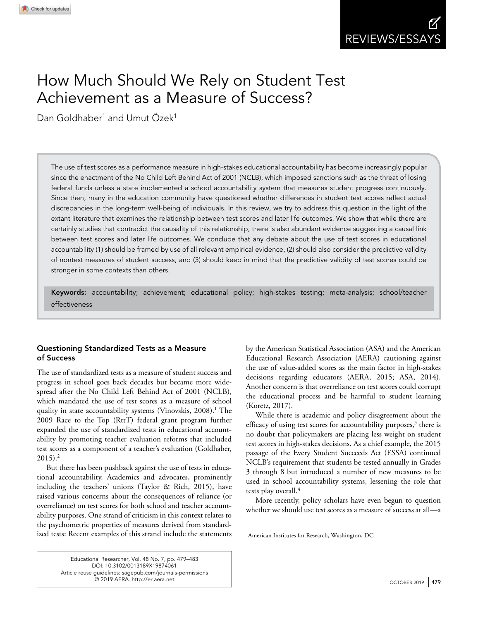# How Much Should We Rely on Student Test Achievement as a Measure of Success?

Dan Goldhaber<sup>1</sup> and Umut Özek<sup>1</sup>

The use of test scores as a performance measure in high-stakes educational accountability has become increasingly popular since the enactment of the No Child Left Behind Act of 2001 (NCLB), which imposed sanctions such as the threat of losing federal funds unless a state implemented a school accountability system that measures student progress continuously. Since then, many in the education community have questioned whether differences in student test scores reflect actual discrepancies in the long-term well-being of individuals. In this review, we try to address this question in the light of the extant literature that examines the relationship between test scores and later life outcomes. We show that while there are certainly studies that contradict the causality of this relationship, there is also abundant evidence suggesting a causal link between test scores and later life outcomes. We conclude that any debate about the use of test scores in educational accountability (1) should be framed by use of all relevant empirical evidence, (2) should also consider the predictive validity of nontest measures of student success, and (3) should keep in mind that the predictive validity of test scores could be stronger in some contexts than others.

Keywords: accountability; achievement; educational policy; high-stakes testing; meta-analysis; school/teacher effectiveness

# Questioning Standardized Tests as a Measure of Success

The use of standardized tests as a measure of student success and progress in school goes back decades but became more widespread after the No Child Left Behind Act of 2001 (NCLB), which mandated the use of test scores as a measure of school quality in state accountability systems (Vinovskis, 2008).<sup>1</sup> The 2009 Race to the Top (RttT) federal grant program further expanded the use of standardized tests in educational accountability by promoting teacher evaluation reforms that included test scores as a component of a teacher's evaluation (Goldhaber,  $2015$ ).<sup>2</sup>

But there has been pushback against the use of tests in educational accountability. Academics and advocates, prominently including the teachers' unions (Taylor & Rich, 2015), have raised various concerns about the consequences of reliance (or overreliance) on test scores for both school and teacher accountability purposes. One strand of criticism in this context relates to the psychometric properties of measures derived from standardized tests: Recent examples of this strand include the statements

by the American Statistical Association (ASA) and the American Educational Research Association (AERA) cautioning against the use of value-added scores as the main factor in high-stakes decisions regarding educators (AERA, 2015; ASA, 2014). Another concern is that overreliance on test scores could corrupt the educational process and be harmful to student learning (Koretz, 2017).

While there is academic and policy disagreement about the efficacy of using test scores for accountability purposes,<sup>3</sup> there is no doubt that policymakers are placing less weight on student test scores in high-stakes decisions. As a chief example, the 2015 passage of the Every Student Succeeds Act (ESSA) continued NCLB's requirement that students be tested annually in Grades 3 through 8 but introduced a number of new measures to be used in school accountability systems, lessening the role that tests play overall.<sup>4</sup>

More recently, policy scholars have even begun to question whether we should use test scores as a measure of success at all—a

Educational Researcher, Vol. 48 No. 7, pp. 479–483 DOI: [10.3102/0013189X19874061](https://doi.org/10.3102/0013189X19874061) [Article reuse guidelines: sagepub.com/journals-permissions](https://us.sagepub.com/en-us/journals-permissions)  $\overline{\odot}$  2019 AERA. htt[p://er.aera.net](http://er.aera.net)  $\overline{\qquad}$ 

<sup>&</sup>lt;sup>1</sup>American Institutes for Research, Washington, DC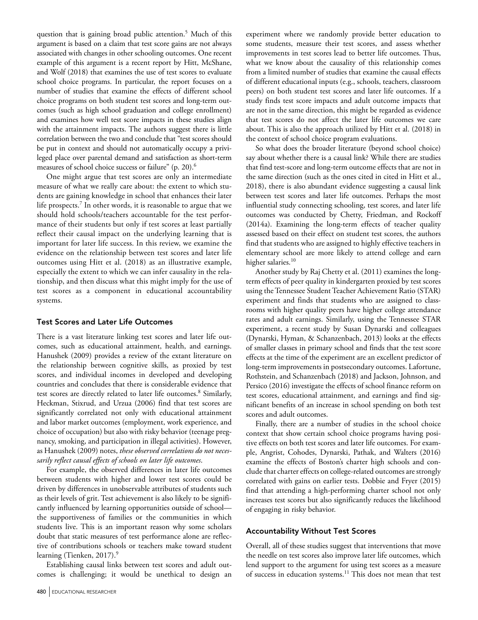question that is gaining broad public attention.<sup>5</sup> Much of this argument is based on a claim that test score gains are not always associated with changes in other schooling outcomes. One recent example of this argument is a recent report by Hitt, McShane, and Wolf (2018) that examines the use of test scores to evaluate school choice programs. In particular, the report focuses on a number of studies that examine the effects of different school choice programs on both student test scores and long-term outcomes (such as high school graduation and college enrollment) and examines how well test score impacts in these studies align with the attainment impacts. The authors suggest there is little correlation between the two and conclude that "test scores should be put in context and should not automatically occupy a privileged place over parental demand and satisfaction as short-term measures of school choice success or failure" (p. 20).6

One might argue that test scores are only an intermediate measure of what we really care about: the extent to which students are gaining knowledge in school that enhances their later life prospects.<sup>7</sup> In other words, it is reasonable to argue that we should hold schools/teachers accountable for the test performance of their students but only if test scores at least partially reflect their causal impact on the underlying learning that is important for later life success. In this review, we examine the evidence on the relationship between test scores and later life outcomes using Hitt et al. (2018) as an illustrative example, especially the extent to which we can infer causality in the relationship, and then discuss what this might imply for the use of test scores as a component in educational accountability systems.

# Test Scores and Later Life Outcomes

There is a vast literature linking test scores and later life outcomes, such as educational attainment, health, and earnings. Hanushek (2009) provides a review of the extant literature on the relationship between cognitive skills, as proxied by test scores, and individual incomes in developed and developing countries and concludes that there is considerable evidence that test scores are directly related to later life outcomes.<sup>8</sup> Similarly, Heckman, Stixrud, and Urzua (2006) find that test scores are significantly correlated not only with educational attainment and labor market outcomes (employment, work experience, and choice of occupation) but also with risky behavior (teenage pregnancy, smoking, and participation in illegal activities). However, as Hanushek (2009) notes, *these observed correlations do not necessarily reflect causal effects of schools on later life outcomes*.

For example, the observed differences in later life outcomes between students with higher and lower test scores could be driven by differences in unobservable attributes of students such as their levels of grit. Test achievement is also likely to be significantly influenced by learning opportunities outside of school the supportiveness of families or the communities in which students live. This is an important reason why some scholars doubt that static measures of test performance alone are reflective of contributions schools or teachers make toward student learning (Tienken, 2017).<sup>9</sup>

Establishing causal links between test scores and adult outcomes is challenging; it would be unethical to design an experiment where we randomly provide better education to some students, measure their test scores, and assess whether improvements in test scores lead to better life outcomes. Thus, what we know about the causality of this relationship comes from a limited number of studies that examine the causal effects of different educational inputs (e.g., schools, teachers, classroom peers) on both student test scores and later life outcomes. If a study finds test score impacts and adult outcome impacts that are not in the same direction, this might be regarded as evidence that test scores do not affect the later life outcomes we care about. This is also the approach utilized by Hitt et al. (2018) in the context of school choice program evaluations.

So what does the broader literature (beyond school choice) say about whether there is a causal link? While there are studies that find test-score and long-term outcome effects that are not in the same direction (such as the ones cited in cited in Hitt et al., 2018), there is also abundant evidence suggesting a causal link between test scores and later life outcomes. Perhaps the most influential study connecting schooling, test scores, and later life outcomes was conducted by Chetty, Friedman, and Rockoff (2014a). Examining the long-term effects of teacher quality assessed based on their effect on student test scores, the authors find that students who are assigned to highly effective teachers in elementary school are more likely to attend college and earn higher salaries.<sup>10</sup>

Another study by Raj Chetty et al. (2011) examines the longterm effects of peer quality in kindergarten proxied by test scores using the Tennessee Student Teacher Achievement Ratio (STAR) experiment and finds that students who are assigned to classrooms with higher quality peers have higher college attendance rates and adult earnings. Similarly, using the Tennessee STAR experiment, a recent study by Susan Dynarski and colleagues (Dynarski, Hyman, & Schanzenbach, 2013) looks at the effects of smaller classes in primary school and finds that the test score effects at the time of the experiment are an excellent predictor of long-term improvements in postsecondary outcomes. Lafortune, Rothstein, and Schanzenbach (2018) and Jackson, Johnson, and Persico (2016) investigate the effects of school finance reform on test scores, educational attainment, and earnings and find significant benefits of an increase in school spending on both test scores and adult outcomes.

Finally, there are a number of studies in the school choice context that show certain school choice programs having positive effects on both test scores and later life outcomes. For example, Angrist, Cohodes, Dynarski, Pathak, and Walters (2016) examine the effects of Boston's charter high schools and conclude that charter effects on college-related outcomes are strongly correlated with gains on earlier tests. Dobbie and Fryer (2015) find that attending a high-performing charter school not only increases test scores but also significantly reduces the likelihood of engaging in risky behavior.

#### Accountability Without Test Scores

Overall, all of these studies suggest that interventions that move the needle on test scores also improve later life outcomes, which lend support to the argument for using test scores as a measure of success in education systems.11 This does not mean that test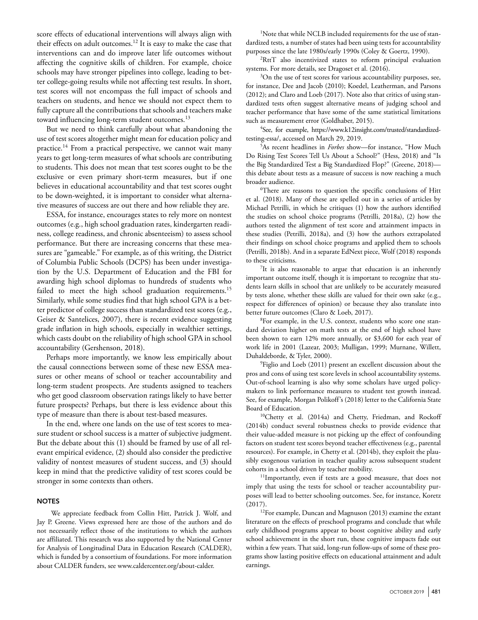score effects of educational interventions will always align with their effects on adult outcomes.12 It is easy to make the case that interventions can and do improve later life outcomes without affecting the cognitive skills of children. For example, choice schools may have stronger pipelines into college, leading to better college-going results while not affecting test results. In short, test scores will not encompass the full impact of schools and teachers on students, and hence we should not expect them to fully capture all the contributions that schools and teachers make toward influencing long-term student outcomes.<sup>13</sup>

But we need to think carefully about what abandoning the use of test scores altogether might mean for education policy and practice.14 From a practical perspective, we cannot wait many years to get long-term measures of what schools are contributing to students. This does not mean that test scores ought to be the exclusive or even primary short-term measures, but if one believes in educational accountability and that test scores ought to be down-weighted, it is important to consider what alternative measures of success are out there and how reliable they are.

ESSA, for instance, encourages states to rely more on nontest outcomes (e.g., high school graduation rates, kindergarten readiness, college readiness, and chronic absenteeism) to assess school performance. But there are increasing concerns that these measures are "gameable." For example, as of this writing, the District of Columbia Public Schools (DCPS) has been under investigation by the U.S. Department of Education and the FBI for awarding high school diplomas to hundreds of students who failed to meet the high school graduation requirements.<sup>15</sup> Similarly, while some studies find that high school GPA is a better predictor of college success than standardized test scores (e.g., Geiser & Santelices, 2007), there is recent evidence suggesting grade inflation in high schools, especially in wealthier settings, which casts doubt on the reliability of high school GPA in school accountability (Gershenson, 2018).

Perhaps more importantly, we know less empirically about the causal connections between some of these new ESSA measures or other means of school or teacher accountability and long-term student prospects. Are students assigned to teachers who get good classroom observation ratings likely to have better future prospects? Perhaps, but there is less evidence about this type of measure than there is about test-based measures.

In the end, where one lands on the use of test scores to measure student or school success is a matter of subjective judgment. But the debate about this (1) should be framed by use of all relevant empirical evidence, (2) should also consider the predictive validity of nontest measures of student success, and (3) should keep in mind that the predictive validity of test scores could be stronger in some contexts than others.

## **NOTES**

We appreciate feedback from Collin Hitt, Patrick J. Wolf, and Jay P. Greene. Views expressed here are those of the authors and do not necessarily reflect those of the institutions to which the authors are affiliated. This research was also supported by the National Center for Analysis of Longitudinal Data in Education Research (CALDER), which is funded by a consortium of foundations. For more information about CALDER funders, see [www.caldercenter.org/about-calder.](www.caldercenter.org/about-calder)

1 Note that while NCLB included requirements for the use of standardized tests, a number of states had been using tests for accountability purposes since the late 1980s/early 1990s (Coley & Goertz, 1990).

2 RttT also incentivized states to reform principal evaluation systems. For more details, see Dragoset et al. (2016).

<sup>3</sup>On the use of test scores for various accountability purposes, see, for instance, Dee and Jacob (2010); Koedel, Leatherman, and Parsons (2012); and Claro and Loeb (2017). Note also that critics of using standardized tests often suggest alternative means of judging school and teacher performance that have some of the same statistical limitations such as measurement error (Goldhaber, 2015).

4 See, for example, [https://www.k12insight.com/trusted/standardized](https://www.k12insight.com/trusted/standardized-testing-essa/)[testing-essa/](https://www.k12insight.com/trusted/standardized-testing-essa/), accessed on March 29, 2019.

5 As recent headlines in *Forbes* show—for instance, "How Much Do Rising Test Scores Tell Us About a School?" (Hess, 2018) and "Is the Big Standardized Test a Big Standardized Flop?" (Greene, 2018) this debate about tests as a measure of success is now reaching a much broader audience.

6 There are reasons to question the specific conclusions of Hitt et al. (2018). Many of these are spelled out in a series of articles by Michael Petrilli, in which he critiques (1) how the authors identified the studies on school choice programs (Petrilli, 2018a), (2) how the authors tested the alignment of test score and attainment impacts in these studies (Petrilli, 2018a), and (3) how the authors extrapolated their findings on school choice programs and applied them to schools (Petrilli, 2018b). And in a separate EdNext piece, Wolf (2018) responds to these criticisms.

7 It is also reasonable to argue that education is an inherently important outcome itself, though it is important to recognize that students learn skills in school that are unlikely to be accurately measured by tests alone, whether these skills are valued for their own sake (e.g., respect for differences of opinion) or because they also translate into better future outcomes (Claro & Loeb, 2017).

8 For example, in the U.S. context, students who score one standard deviation higher on math tests at the end of high school have been shown to earn 12% more annually, or \$3,600 for each year of work life in 2001 (Lazear, 2003; Mulligan, 1999; Murnane, Willett, Duhaldeborde, & Tyler, 2000).

9 Figlio and Loeb (2011) present an excellent discussion about the pros and cons of using test score levels in school accountability systems. Out-of-school learning is also why some scholars have urged policymakers to link performance measures to student test growth instead. See, for example, Morgan Polikoff's (2018) letter to the California State Board of Education.

10Chetty et al. (2014a) and Chetty, Friedman, and Rockoff (2014b) conduct several robustness checks to provide evidence that their value-added measure is not picking up the effect of confounding factors on student test scores beyond teacher effectiveness (e.g., parental resources). For example, in Chetty et al. (2014b), they exploit the plausibly exogenous variation in teacher quality across subsequent student cohorts in a school driven by teacher mobility.

<sup>11</sup>Importantly, even if tests are a good measure, that does not imply that using the tests for school or teacher accountability purposes will lead to better schooling outcomes. See, for instance, Koretz (2017).

<sup>12</sup>For example, Duncan and Magnuson (2013) examine the extant literature on the effects of preschool programs and conclude that while early childhood programs appear to boost cognitive ability and early school achievement in the short run, these cognitive impacts fade out within a few years. That said, long-run follow-ups of some of these programs show lasting positive effects on educational attainment and adult earnings.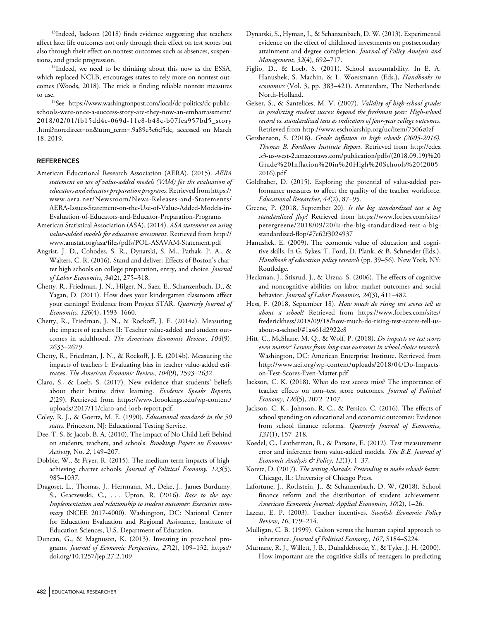<sup>13</sup>Indeed, Jackson (2018) finds evidence suggesting that teachers affect later life outcomes not only through their effect on test scores but also through their effect on nontest outcomes such as absences, suspensions, and grade progression.

<sup>14</sup>Indeed, we need to be thinking about this now as the ESSA, which replaced NCLB, encourages states to rely more on nontest outcomes (Woods, 2018). The trick is finding reliable nontest measures

to use.<br><sup>15</sup>See [https://www.washingtonpost.com/local/dc-politics/dc-public](https://www.washingtonpost.com/local/dc-politics/dc-public-schools-were-once-a-success-story-are-they-now-an-embarrassment/2018/02/01/fb15dd4c-069d-11e8-b48c-b07fea957bd5_story.html?noredirect=on&utm_term=.9a89e3e6d5dc)[schools-were-once-a-success-story-are-they-now-an-embarrassment/](https://www.washingtonpost.com/local/dc-politics/dc-public-schools-were-once-a-success-story-are-they-now-an-embarrassment/2018/02/01/fb15dd4c-069d-11e8-b48c-b07fea957bd5_story.html?noredirect=on&utm_term=.9a89e3e6d5dc) [2018/02/01/fb15dd4c-069d-11e8-b48c-b07fea957bd5\\_story](https://www.washingtonpost.com/local/dc-politics/dc-public-schools-were-once-a-success-story-are-they-now-an-embarrassment/2018/02/01/fb15dd4c-069d-11e8-b48c-b07fea957bd5_story.html?noredirect=on&utm_term=.9a89e3e6d5dc) [.html?noredirect=on&utm\\_term=.9a89e3e6d5dc](https://www.washingtonpost.com/local/dc-politics/dc-public-schools-were-once-a-success-story-are-they-now-an-embarrassment/2018/02/01/fb15dd4c-069d-11e8-b48c-b07fea957bd5_story.html?noredirect=on&utm_term=.9a89e3e6d5dc), accessed on March 18, 2019.

#### **REFERENCES**

- American Educational Research Association (AERA). (2015). *AERA statement on use of value-added models (VAM) for the evaluation of educators and educator preparation programs*. Retrieved from [https://](https://www.aera.net/Newsroom/News-Releases-and-Statements/AERA-Issues-Statement-on-the-Use-of-Value-Added-Models-in-Evaluation-of-Educators-and-Educator-Preparation-Programs) [www.aera.net/Newsroom/News-Releases-and-Statements/](https://www.aera.net/Newsroom/News-Releases-and-Statements/AERA-Issues-Statement-on-the-Use-of-Value-Added-Models-in-Evaluation-of-Educators-and-Educator-Preparation-Programs) [AERA-Issues-Statement-on-the-Use-of-Value-Added-Models-in-](https://www.aera.net/Newsroom/News-Releases-and-Statements/AERA-Issues-Statement-on-the-Use-of-Value-Added-Models-in-Evaluation-of-Educators-and-Educator-Preparation-Programs)[Evaluation-of-Educators-and-Educator-Preparation-Programs](https://www.aera.net/Newsroom/News-Releases-and-Statements/AERA-Issues-Statement-on-the-Use-of-Value-Added-Models-in-Evaluation-of-Educators-and-Educator-Preparation-Programs)
- American Statistical Association (ASA). (2014). *ASA statement on using value-added models for education assessment*. Retrieved from [http://](http://www.amstat.org/asa/files/pdfs/POL-ASAVAM-Statement.pdf) [www.amstat.org/asa/files/pdfs/POL-ASAVAM-Statement.pdf](http://www.amstat.org/asa/files/pdfs/POL-ASAVAM-Statement.pdf)
- Angrist, J. D., Cohodes, S. R., Dynarski, S. M., Pathak, P. A., & Walters, C. R. (2016). Stand and deliver: Effects of Boston's charter high schools on college preparation, entry, and choice. *Journal of Labor Economics*, *34*(2), 275–318.
- Chetty, R., Friedman, J. N., Hilger, N., Saez, E., Schanzenbach, D., & Yagan, D. (2011). How does your kindergarten classroom affect your earnings? Evidence from Project STAR. *Quarterly Journal of Economics*, *126*(4), 1593–1660.
- Chetty, R., Friedman, J. N., & Rockoff, J. E. (2014a). Measuring the impacts of teachers II: Teacher value-added and student outcomes in adulthood. *The American Economic Review*, *104*(9), 2633–2679.
- Chetty, R., Friedman, J. N., & Rockoff, J. E. (2014b). Measuring the impacts of teachers I: Evaluating bias in teacher value-added estimates. *The American Economic Review*, *104*(9), 2593–2632.
- Claro, S., & Loeb, S. (2017). New evidence that students' beliefs about their brains drive learning. *Evidence Speaks Reports*, *2*[\(29\). Retrieved from https://www.brookings.edu/wp-content/](https://www.brookings.edu/wp-content/uploads/2017/11/claro-and-loeb-report.pdf) uploads/2017/11/claro-and-loeb-report.pdf.
- Coley, R. J., & Goertz, M. E. (1990). *Educational standards in the 50 states*. Princeton, NJ: Educational Testing Service.
- Dee, T. S, & Jacob, B. A. (2010). The impact of No Child Left Behind on students, teachers, and schools. *Brookings Papers on Economic Activity*, No. *2*, 149–207.
- Dobbie, W., & Fryer, R. (2015). The medium-term impacts of highachieving charter schools. *Journal of Political Economy*, *123*(5), 985–1037.
- Dragoset, L., Thomas, J., Herrmann, M., Deke, J., James-Burdumy, S., Graczewski, C., . . . Upton, R. (2016). *Race to the top: Implementation and relationship to student outcomes: Executive summary* (NCEE 2017-4000). Washington, DC: National Center for Education Evaluation and Regional Assistance, Institute of Education Sciences, U.S. Department of Education.
- Duncan, G., & Magnuson, K. (2013). Investing in preschool programs. *Journal of Economic Perspectives*, *27*(2), 109–132. https:// doi.org/10.1257/jep.27.2.109
- Dynarski, S., Hyman, J., & Schanzenbach, D. W. (2013). Experimental evidence on the effect of childhood investments on postsecondary attainment and degree completion. *Journal of Policy Analysis and Management*, *32*(4), 692–717.
- Figlio, D., & Loeb, S. (2011). School accountability. In E. A. Hanushek, S. Machin, & L. Woessmann (Eds.), *Handbooks in economics* (Vol. 3, pp. 383–421). Amsterdam, The Netherlands: North-Holland.
- Geiser, S., & Santelices, M. V. (2007). *Validity of high-school grades in predicting student success beyond the freshman year: High-school record vs. standardized tests as indicators of four-year college outcomes*. Retrieved from <http://www.escholarship.org/uc/item/7306z0zf>
- Gershenson, S. (2018). *Grade inflation in high schools (2005-2016). Thomas B. Fordham Institute Report*. Retrieved from [http://edex](http://edex.s3-us-west-2.amazonaws.com/publication/pdfs/(2018.09.19)%20Grade%20Inflation%20in%20High%20Schools%20(2005-2016).pdf) [.s3-us-west-2.amazonaws.com/publication/pdfs/\(2018.09.19\)%20](http://edex.s3-us-west-2.amazonaws.com/publication/pdfs/(2018.09.19)%20Grade%20Inflation%20in%20High%20Schools%20(2005-2016).pdf) [Grade%20Inflation%20in%20High%20Schools%20\(2005-](http://edex.s3-us-west-2.amazonaws.com/publication/pdfs/(2018.09.19)%20Grade%20Inflation%20in%20High%20Schools%20(2005-2016).pdf) [2016\).pdf](http://edex.s3-us-west-2.amazonaws.com/publication/pdfs/(2018.09.19)%20Grade%20Inflation%20in%20High%20Schools%20(2005-2016).pdf)
- Goldhaber, D. (2015). Exploring the potential of value-added performance measures to affect the quality of the teacher workforce. *Educational Researcher*, *44*(2), 87–95.
- Greene, P. (2018, September 20). *Is the big standardized test a big standardized flop?* Retrieved from [https://www.forbes.com/sites/](https://www.forbes.com/sites/petergreene/2018/09/20/is-the-big-standardized-test-a-big-standardized-flop/#7e62f3024937) [petergreene/2018/09/20/is-the-big-standardized-test-a-big](https://www.forbes.com/sites/petergreene/2018/09/20/is-the-big-standardized-test-a-big-standardized-flop/#7e62f3024937)[standardized-flop/#7e62f3024937](https://www.forbes.com/sites/petergreene/2018/09/20/is-the-big-standardized-test-a-big-standardized-flop/#7e62f3024937)
- Hanushek, E. (2009). The economic value of education and cognitive skills. In G. Sykes, T. Ford, D. Plank, & B. Schneider (Eds.), *Handbook of education policy research* (pp. 39–56). New York, NY: Routledge.
- Heckman, J., Stixrud, J., & Urzua, S. (2006). The effects of cognitive and noncognitive abilities on labor market outcomes and social behavior. *Journal of Labor Economics*, *24*(3), 411–482.
- Hess, F. (2018, September 18). *How much do rising test scores tell us about a school?* Retrieved from [https://www.forbes.com/sites/](https://www.forbes.com/sites/frederickhess/2018/09/18/how-much-do-rising-test-scores-tell-us-about-a-school/#1a461d2922e8) [frederickhess/2018/09/18/how-much-do-rising-test-scores-tell-us](https://www.forbes.com/sites/frederickhess/2018/09/18/how-much-do-rising-test-scores-tell-us-about-a-school/#1a461d2922e8)[about-a-school/#1a461d2922e8](https://www.forbes.com/sites/frederickhess/2018/09/18/how-much-do-rising-test-scores-tell-us-about-a-school/#1a461d2922e8)
- Hitt, C., McShane, M. Q., & Wolf, P. (2018). *Do impacts on test scores even matter? Lessons from long-run outcomes in school choice research*. Washington, DC: American Enterprise Institute. Retrieved from [http://www.aei.org/wp-content/uploads/2018/04/Do-Impacts](http://www.aei.org/wp-content/uploads/2018/04/Do-Impacts-on-Test-Scores-Even-Matter.pdf)[on-Test-Scores-Even-Matter.pdf](http://www.aei.org/wp-content/uploads/2018/04/Do-Impacts-on-Test-Scores-Even-Matter.pdf)
- Jackson, C. K. (2018). What do test scores miss? The importance of teacher effects on non–test score outcomes. *Journal of Political Economy*, *126*(5), 2072–2107.
- Jackson, C. K., Johnson, R. C., & Persico, C. (2016). The effects of school spending on educational and economic outcomes: Evidence from school finance reforms. *Quarterly Journal of Economics*, *131*(1), 157–218.
- Koedel, C., Leatherman, R., & Parsons, E. (2012). Test measurement error and inference from value-added models. *The B.E. Journal of Economic Analysis & Policy*, *12*(1), 1–37.
- Koretz, D. (2017). *The testing charade: Pretending to make schools better*. Chicago, IL: University of Chicago Press.
- Lafortune, J., Rothstein, J., & Schanzenbach, D. W. (2018). School finance reform and the distribution of student achievement. *American Economic Journal: Applied Economics*, *10*(2), 1–26.
- Lazear, E. P. (2003). Teacher incentives. *Swedish Economic Policy Review*, *10*, 179–214.
- Mulligan, C. B. (1999). Galton versus the human capital approach to inheritance. *Journal of Political Economy*, *107*, S184–S224.
- Murnane, R. J., Willett, J. B., Duhaldeborde, Y., & Tyler, J. H. (2000). How important are the cognitive skills of teenagers in predicting